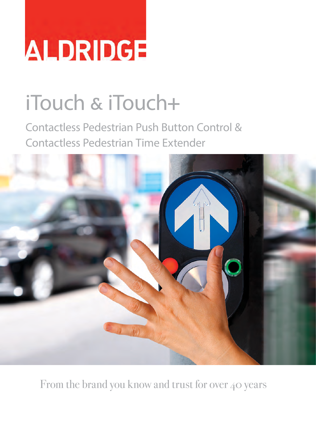# ALDRIDGE

# iTouch & iTouch**+**

Contactless Pedestrian Push Button Control & Contactless Pedestrian Time Extender



From the brand you know and trust for over 40 years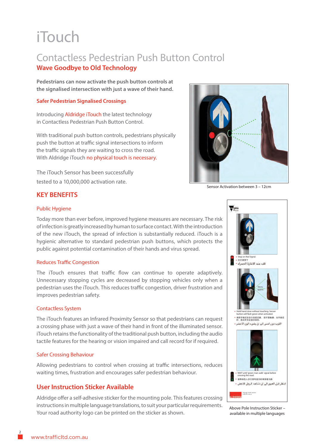### iTouch

#### Contactless Pedestrian Push Button Control **Wave Goodbye to Old Technology**

**Pedestrians can now activate the push button controls at the signalised intersection with just a wave of their hand.**

#### **Safer Pedestrian Signalised Crossings**

Introducing Aldridge iTouch the latest technology in Contactless Pedestrian Push Button Control.

With traditional push button controls, pedestrians physically push the button at traffic signal intersections to inform the traffic signals they are waiting to cross the road. With Aldridge iTouch no physical touch is necessary.

The iTouch Sensor has been successfully tested to a 10,000,000 activation rate.



Sensor Activation between 3 – 12cm

#### **KEY BENEFITS**

#### Public Hygiene

Today more than ever before, improved hygiene measures are necessary. The risk of infection is greatly increased by human to surface contact. With the introduction of the new iTouch, the spread of infection is substantially reduced. iTouch is a hygienic alternative to standard pedestrian push buttons, which protects the public against potential contamination of their hands and virus spread.

#### Reduces Traffic Congestion

The iTouch ensures that traffic flow can continue to operate adaptively. Unnecessary stopping cycles are decreased by stopping vehicles only when a pedestrian uses the iTouch. This reduces traffic congestion, driver frustration and improves pedestrian safety.

#### Contactless System

The iTouch features an Infrared Proximity Sensor so that pedestrians can request a crossing phase with just a wave of their hand in front of the illuminated sensor. iTouch retains the functionality of the traditional push button, including the audio tactile features for the hearing or vision impaired and call record for if required.

#### Safer Crossing Behaviour

Allowing pedestrians to control when crossing at traffic intersections, reduces waiting times, frustration and encourages safer pedestrian behaviour.

#### **User Instruction Sticker Available**

Aldridge offer a self-adhesive sticker for the mounting pole. This features crossing instructions in multiple language translations, to suit your particular requirements. Your road authority logo can be printed on the sticker as shown.



Above Pole Instruction Sticker – available in multiple languages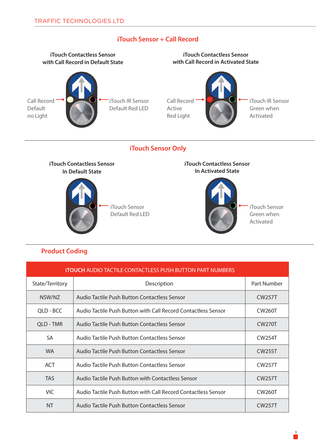

#### **iTouch Sensor + Call Record**

#### **Product Coding**

| <b>ITOUCH AUDIO TACTILE CONTACTLESS PUSH BUTTON PART NUMBERS</b> |                                                               |                     |
|------------------------------------------------------------------|---------------------------------------------------------------|---------------------|
| State/Territory                                                  | Description                                                   | Part Number         |
| NSW/NZ                                                           | Audio Tactile Push Button Contactless Sensor                  | <b>CW257T</b>       |
| QLD - BCC                                                        | Audio Tactile Push Button with Call Record Contactless Sensor | <b>CW260T</b>       |
| QLD - TMR                                                        | Audio Tactile Push Button Contactless Sensor                  | <b>CW270T</b>       |
| <b>SA</b>                                                        | Audio Tactile Push Button Contactless Sensor                  | <b>CW254T</b>       |
| <b>WA</b>                                                        | Audio Tactile Push Button Contactless Sensor                  | <b>CW255T</b>       |
| <b>ACT</b>                                                       | Audio Tactile Push Button Contactless Sensor                  | <b>CW257T</b>       |
| <b>TAS</b>                                                       | Audio Tactile Push Button with Contactless Sensor             | <b>CW257T</b>       |
| VIC.                                                             | Audio Tactile Push Button with Call Record Contactless Sensor | <b>CW260T</b>       |
| <b>NT</b>                                                        | Audio Tactile Push Button Contactless Sensor                  | CW <sub>257</sub> T |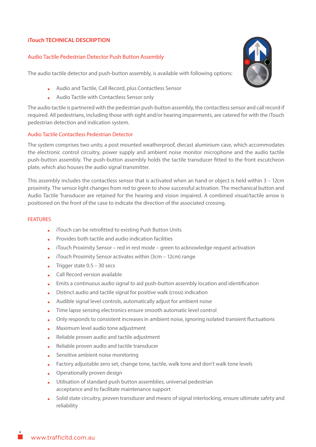#### **iTouch TECHNICAL DESCRIPTION**

#### Audio Tactile Pedestrian Detector Push Button Assembly

The audio tactile detector and push-button assembly, is available with following options:

- **.** Audio and Tactile, Call Record, plus Contactless Sensor
- **.** Audio Tactile with Contactless Sensor only

The audio tactile is partnered with the pedestrian push-button assembly, the contactless sensor and call record if required. All pedestrians, including those with sight and/or hearing impairments, are catered for with the iTouch pedestrian detection and indication system.

#### Audio Tactile Contactless Pedestrian Detector

The system comprises two units; a post mounted weatherproof, diecast aluminium case, which accommodates the electronic control circuitry, power supply and ambient noise monitor microphone and the audio tactile push-button assembly. The push-button assembly holds the tactile transducer fitted to the front escutcheon plate, which also houses the audio signal transmitter.

This assembly includes the contactless sensor that is activated when an hand or object is held within 3 – 12cm proximity. The sensor light changes from red to green to show successful activation. The mechanical button and Audio Tactile Transducer are retained for the hearing and vision impaired. A combined visual/tactile arrow is positioned on the front of the case to indicate the direction of the associated crossing.

#### **FEATURES**

- **.** iTouch can be retrofitted to existing Push Button Units
- **.** Provides both tactile and audio indication facilities
- **.** iTouch Proximity Sensor red in rest mode green to acknowledge request activation
- **.** iTouch Proximity Sensor activates within (3cm 12cm) range
- **Trigger state 0.5 30 secs**
- **.** Call Record version available
- **.** Emits a continuous audio signal to aid push-button assembly location and identification
- **.** Distinct audio and tactile signal for positive walk (cross) indication
- **.** Audible signal level controls, automatically adjust for ambient noise
- **.** Time lapse sensing electronics ensure smooth automatic level control
- **.** Only responds to consistent increases in ambient noise, ignoring isolated transient fluctuations
- **.** Maximum level audio tone adjustment
- **.** Reliable proven audio and tactile adjustment
- **.** Reliable proven audio and tactile transducer
- **.** Sensitive ambient noise monitoring
- **.** Factory adjustable zero set, change tone, tactile, walk tone and don't walk tone levels
- **.** Operationally proven design
- **.** Utilisation of standard push button assemblies, universal pedestrian acceptance and to facilitate maintenance support
- **.** Solid state circuitry, proven transducer and means of signal interlocking, ensure ultimate safety and reliability

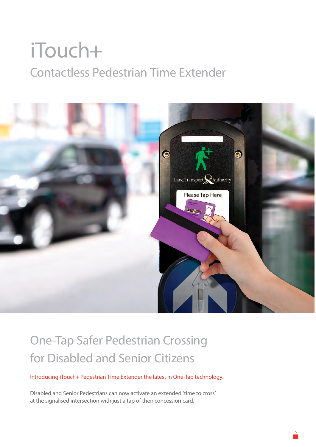## iTouch**+** Contactless Pedestrian Time Extender



### One-Tap Safer Pedestrian Crossing for Disabled and Senior Citizens

Introducing iTouch+ Pedestrian Time Extender the latest in One-Tap technology.

Disabled and Senior Pedestrians can now activate an extended 'time to cross' at the signalised intersection with just a tap of their concession card.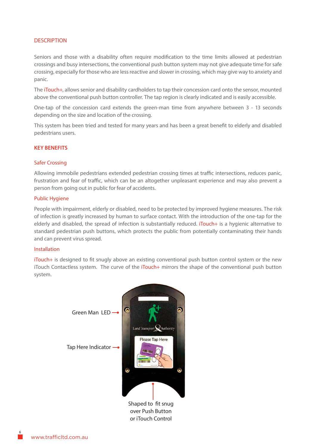#### **DESCRIPTION**

Seniors and those with a disability often require modification to the time limits allowed at pedestrian crossings and busy intersections, the conventional push button system may not give adequate time for safe crossing, especially for those who are less reactive and slower in crossing, which may give way to anxiety and panic.

The iTouch+, allows senior and disability cardholders to tap their concession card onto the sensor, mounted above the conventional push button controller. The tap region is clearly indicated and is easily accessible.

One-tap of the concession card extends the green-man time from anywhere between 3 - 13 seconds depending on the size and location of the crossing.

This system has been tried and tested for many years and has been a great benefit to elderly and disabled pedestrians users.

#### **KEY BENEFITS**

#### Safer Crossing

Allowing immobile pedestrians extended pedestrian crossing times at traffic intersections, reduces panic, frustration and fear of traffic, which can be an altogether unpleasant experience and may also prevent a person from going out in public for fear of accidents.

#### Public Hygiene

People with impairment, elderly or disabled, need to be protected by improved hygiene measures. The risk of infection is greatly increased by human to surface contact. With the introduction of the one-tap for the elderly and disabled, the spread of infection is substantially reduced. iTouch+ is a hygienic alternative to standard pedestrian push buttons, which protects the public from potentially contaminating their hands and can prevent virus spread.

#### Installation

iTouch+ is designed to fit snugly above an existing conventional push button control system or the new iTouch Contactless system. The curve of the iTouch+ mirrors the shape of the conventional push button system.

or iTouch Control

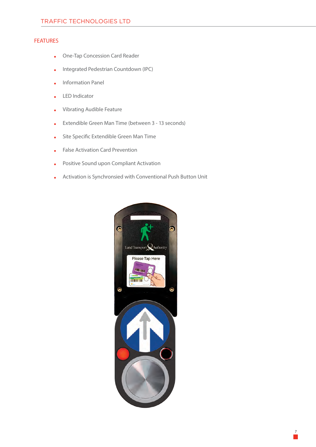#### FEATURES

- **.** One-Tap Concession Card Reader
- **.** Integrated Pedestrian Countdown (IPC)
- **.** Information Panel
- **.** LED Indicator
- **.** Vibrating Audible Feature
- **.** Extendible Green Man Time (between 3 13 seconds)
- **.** Site Specific Extendible Green Man Time
- **.** False Activation Card Prevention
- **.** Positive Sound upon Compliant Activation
- **.** Activation is Synchronsied with Conventional Push Button Unit